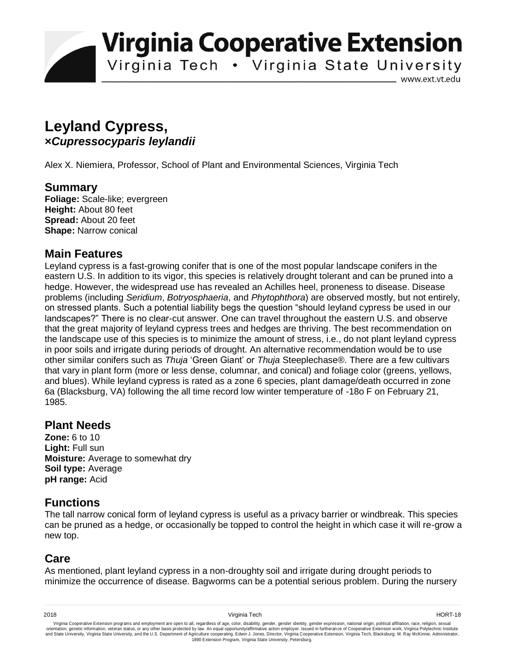**Virginia Cooperative Extension** 

Virginia Tech . Virginia State University

www.ext.vt.edu

# **Leyland Cypress, ×***Cupressocyparis leylandii*

Alex X. Niemiera, Professor, School of Plant and Environmental Sciences, Virginia Tech

## **Summary**

**Foliage:** Scale-like; evergreen **Height:** About 80 feet **Spread:** About 20 feet **Shape:** Narrow conical

#### **Main Features**

Leyland cypress is a fast-growing conifer that is one of the most popular landscape conifers in the eastern U.S. In addition to its vigor, this species is relatively drought tolerant and can be pruned into a hedge. However, the widespread use has revealed an Achilles heel, proneness to disease. Disease problems (including *Seridium*, *Botryosphaeria*, and *Phytophthora*) are observed mostly, but not entirely, on stressed plants. Such a potential liability begs the question "should leyland cypress be used in our landscapes?" There is no clear-cut answer. One can travel throughout the eastern U.S. and observe that the great majority of leyland cypress trees and hedges are thriving. The best recommendation on the landscape use of this species is to minimize the amount of stress, i.e., do not plant leyland cypress in poor soils and irrigate during periods of drought. An alternative recommendation would be to use other similar conifers such as *Thuja* 'Green Giant' or *Thuja* Steeplechase®. There are a few cultivars that vary in plant form (more or less dense, columnar, and conical) and foliage color (greens, yellows, and blues). While leyland cypress is rated as a zone 6 species, plant damage/death occurred in zone 6a (Blacksburg, VA) following the all time record low winter temperature of -18o F on February 21, 1985.

## **Plant Needs**

**Zone:** 6 to 10 **Light:** Full sun **Moisture:** Average to somewhat dry **Soil type:** Average **pH range:** Acid

# **Functions**

The tall narrow conical form of leyland cypress is useful as a privacy barrier or windbreak. This species can be pruned as a hedge, or occasionally be topped to control the height in which case it will re-grow a new top.

# **Care**

As mentioned, plant leyland cypress in a non-droughty soil and irrigate during drought periods to minimize the occurrence of disease. Bagworms can be a potential serious problem. During the nursery

Virginia Cooperative Extension programs and employment are open to all, regardless of age, color, disability, gender, gender identity, gender expression, national origin, political affiliation, race, religion, sexual وrie 1890 Extension Program, Virginia State University, Petersburg.